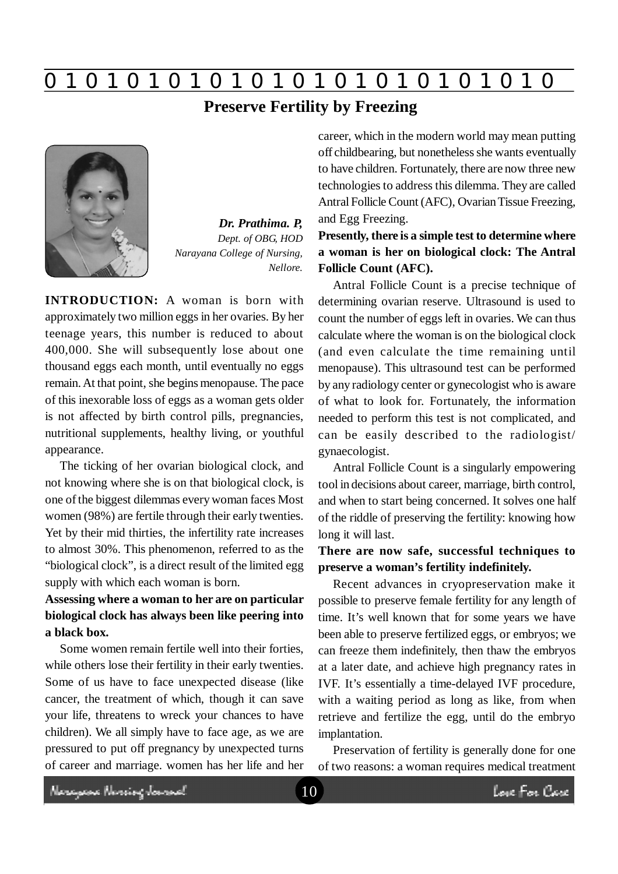**0 z 0 z 0 z 0 z 0 z 0 z 0 z 0 z 0 z 0 z 0 z 0 z 0**

**Preserve Fertility by Freezing**



*Dr. Prathima. P, Dept. of OBG, HOD Narayana College of Nursing, Nellore.*

**INTRODUCTION:** A woman is born with approximately two million eggs in her ovaries. By her teenage years, this number is reduced to about 400,000. She will subsequently lose about one thousand eggs each month, until eventually no eggs remain. At that point, she begins menopause. The pace of this inexorable loss of eggs as a woman gets older is not affected by birth control pills, pregnancies, nutritional supplements, healthy living, or youthful appearance.

The ticking of her ovarian biological clock, and not knowing where she is on that biological clock, is one of the biggest dilemmas every woman faces Most women (98%) are fertile through their early twenties. Yet by their mid thirties, the infertility rate increases to almost 30%. This phenomenon, referred to as the "biological clock", is a direct result of the limited egg supply with which each woman is born.

# **Assessing where a woman to her are on particular biological clock has always been like peering into a black box.**

Some women remain fertile well into their forties, while others lose their fertility in their early twenties. Some of us have to face unexpected disease (like cancer, the treatment of which, though it can save your life, threatens to wreck your chances to have children). We all simply have to face age, as we are pressured to put off pregnancy by unexpected turns of career and marriage. women has her life and her career, which in the modern world may mean putting off childbearing, but nonetheless she wants eventually to have children. Fortunately, there are now three new technologies to address this dilemma. They are called Antral Follicle Count (AFC), Ovarian Tissue Freezing, and Egg Freezing.

# **Presently, there is a simple test to determine where a woman is her on biological clock: The Antral Follicle Count (AFC).**

Antral Follicle Count is a precise technique of determining ovarian reserve. Ultrasound is used to count the number of eggs left in ovaries. We can thus calculate where the woman is on the biological clock (and even calculate the time remaining until menopause). This ultrasound test can be performed by any radiology center or gynecologist who is aware of what to look for. Fortunately, the information needed to perform this test is not complicated, and can be easily described to the radiologist/ gynaecologist.

Antral Follicle Count is a singularly empowering tool in decisions about career, marriage, birth control, and when to start being concerned. It solves one half of the riddle of preserving the fertility: knowing how long it will last.

## **There are now safe, successful techniques to preserve a woman's fertility indefinitely.**

Recent advances in cryopreservation make it possible to preserve female fertility for any length of time. It's well known that for some years we have been able to preserve fertilized eggs, or embryos; we can freeze them indefinitely, then thaw the embryos at a later date, and achieve high pregnancy rates in IVF. It's essentially a time-delayed IVF procedure, with a waiting period as long as like, from when retrieve and fertilize the egg, until do the embryo implantation.

Preservation of fertility is generally done for one of two reasons: a woman requires medical treatment

Neregeae Nereing Januard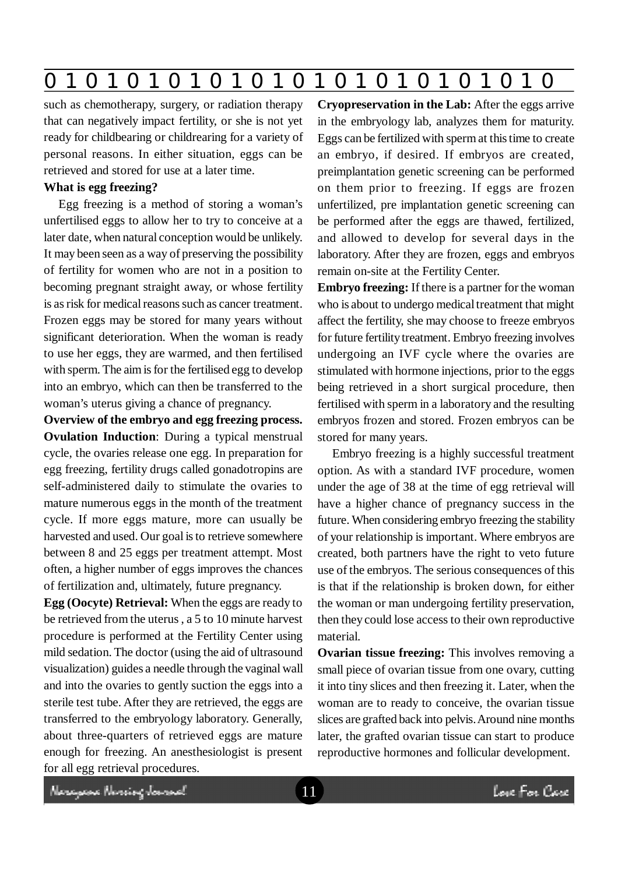|  | $\mathbf 0$ | $\blacksquare$ | $\bullet$ |  |  |  |  |  |  |  |  |  | . . |
|--|-------------|----------------|-----------|--|--|--|--|--|--|--|--|--|-----|
|--|-------------|----------------|-----------|--|--|--|--|--|--|--|--|--|-----|

such as chemotherapy, surgery, or radiation therapy that can negatively impact fertility, or she is not yet ready for childbearing or childrearing for a variety of personal reasons. In either situation, eggs can be retrieved and stored for use at a later time.

### **What is egg freezing?**

Egg freezing is a method of storing a woman's unfertilised eggs to allow her to try to conceive at a later date, when natural conception would be unlikely. It may been seen as a way of preserving the possibility of fertility for women who are not in a position to becoming pregnant straight away, or whose fertility is as risk for medical reasons such as cancer treatment. Frozen eggs may be stored for many years without significant deterioration. When the woman is ready to use her eggs, they are warmed, and then fertilised with sperm. The aim is for the fertilised egg to develop into an embryo, which can then be transferred to the woman's uterus giving a chance of pregnancy.

**Overview of the embryo and egg freezing process. Ovulation Induction**: During a typical menstrual cycle, the ovaries release one egg. In preparation for egg freezing, fertility drugs called gonadotropins are self-administered daily to stimulate the ovaries to mature numerous eggs in the month of the treatment cycle. If more eggs mature, more can usually be harvested and used. Our goal is to retrieve somewhere between 8 and 25 eggs per treatment attempt. Most often, a higher number of eggs improves the chances of fertilization and, ultimately, future pregnancy.

**Egg (Oocyte) Retrieval:** When the eggs are ready to be retrieved from the uterus , a 5 to 10 minute harvest procedure is performed at the Fertility Center using mild sedation. The doctor (using the aid of ultrasound visualization) guides a needle through the vaginal wall and into the ovaries to gently suction the eggs into a sterile test tube. After they are retrieved, the eggs are transferred to the embryology laboratory. Generally, about three-quarters of retrieved eggs are mature enough for freezing. An anesthesiologist is present for all egg retrieval procedures.

**Cryopreservation in the Lab:** After the eggs arrive in the embryology lab, analyzes them for maturity. Eggs can be fertilized with sperm at this time to create an embryo, if desired. If embryos are created, preimplantation genetic screening can be performed on them prior to freezing. If eggs are frozen unfertilized, pre implantation genetic screening can be performed after the eggs are thawed, fertilized, and allowed to develop for several days in the laboratory. After they are frozen, eggs and embryos remain on-site at the Fertility Center.

**Embryo freezing:** If there is a partner for the woman who is about to undergo medical treatment that might affect the fertility, she may choose to freeze embryos for future fertility treatment. Embryo freezing involves undergoing an IVF cycle where the ovaries are stimulated with hormone injections, prior to the eggs being retrieved in a short surgical procedure, then fertilised with sperm in a laboratory and the resulting embryos frozen and stored. Frozen embryos can be stored for many years.

Embryo freezing is a highly successful treatment option. As with a standard IVF procedure, women under the age of 38 at the time of egg retrieval will have a higher chance of pregnancy success in the future. When considering embryo freezing the stability of your relationship is important. Where embryos are created, both partners have the right to veto future use of the embryos. The serious consequences of this is that if the relationship is broken down, for either the woman or man undergoing fertility preservation, then they could lose access to their own reproductive material.

**Ovarian tissue freezing:** This involves removing a small piece of ovarian tissue from one ovary, cutting it into tiny slices and then freezing it. Later, when the woman are to ready to conceive, the ovarian tissue slices are grafted back into pelvis. Around nine months later, the grafted ovarian tissue can start to produce reproductive hormones and follicular development.

Neregeae Nereing Jaward